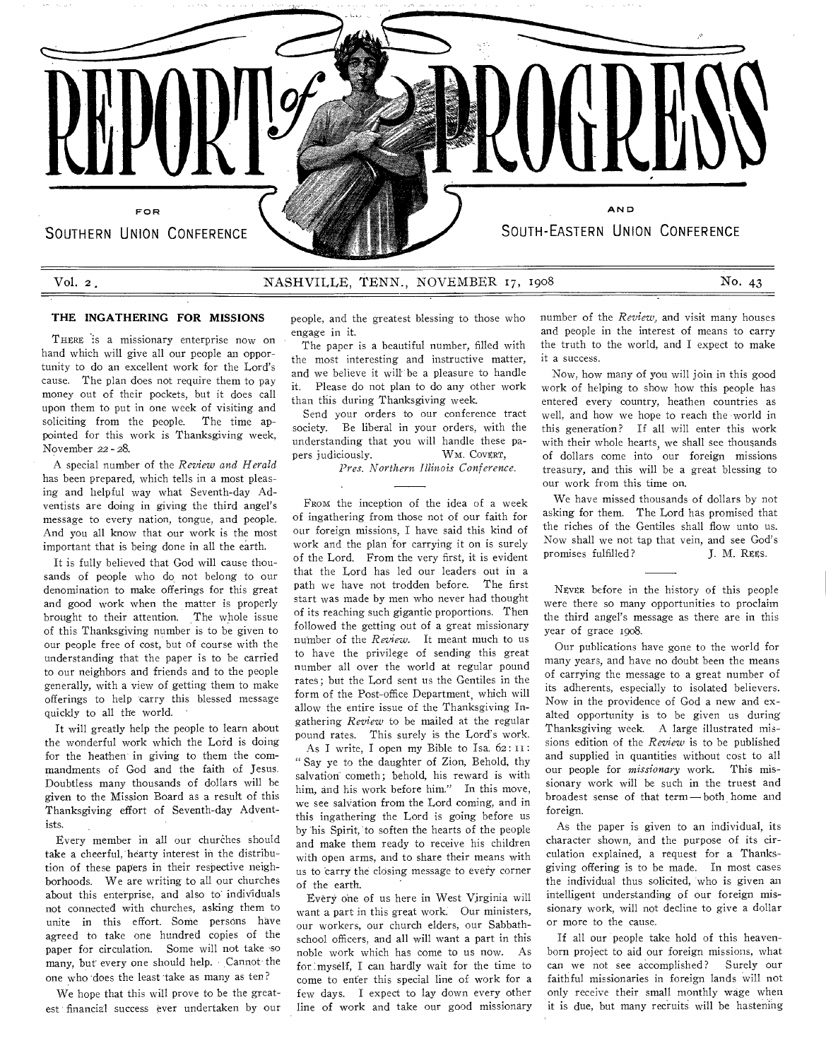

#### **THE INGATHERING FOR MISSIONS**

THERE is a missionary enterprise now on hand which will give all our people an opportunity to do an excellent work for the Lord's cause. The plan does not require them to pay money out of their pockets, but it does call upon them to put in one week of visiting and soliciting from the people. The time appointed for this work is Thanksgiving week, November 22 - 28.

A special number of the *Review and Herald*  has been prepared, which tells in a most pleasing and helpful way what Seventh-day Adventists are doing in giving the third angel's message to every nation, tongue, and people. And you all know that our work is the most important that is being done in all the earth.

It is fully believed that God will cause thousands of people who do not belong to our denomination to make offerings for this great and good work when the matter is properly brought to their attention. The whole issue of this Thanksgiving number is to be given to our people free of cost, but of course with the understanding that the paper is to be carried to our neighbors and friends and to the people generally, with a view of getting them to make offerings to help carry this blessed message quickly to all the world.

It will greatly help the people to learn about the wonderful work which the Lord is doing for the heathen in giving to them the commandments of God and the faith of Jesus. Doubtless many thousands of dollars will be given to the Mission Board as a result of this Thanksgiving effort of Seventh-day Adventists.

Every member in all our churches should take a cheerful, hearty interest in the distribution of these papers in their respective neighborhoods. We are writing to all our churches about this enterprise, and also to' individuals not connected with churches, asking them to unite in this effort. Some persons have agreed to take one hundred copies of the paper for circulation. Some will not take so many, but every one should help. Cannot the one who does the least 'take as many as ten?

We hope that this will prove to be the greatest financial success ever undertaken by our people, and the greatest blessing to those who engage in it.

The paper is a beautiful number, filled with the most interesting and instructive matter, and we believe it will be a pleasure to handle it. Please do not plan to do any other work than this during Thanksgiving week.

Send your orders to our conference tract society. Be liberal in your orders, with the understanding that you will handle these papers judiciously. WM. Coverr,

*Pres. Northern Illinois Conference.* 

FROM the inception of the idea of a week of ingathering from those not of our faith for our foreign missions, I have said this kind of work and the plan for carrying it on is surely of the Lord. From the very first, it is evident that the Lord has led our leaders out in a path we have not trodden before. The first start was made by men who never had thought of its reaching such gigantic proportions. Then followed the getting out of a great missionary number of the *Review.* It meant much to us to have the privilege of sending this great number all over the world at regular pound rates; but the Lord sent us the Gentiles in the form of the Post-office Department, which will allow the entire issue of the Thanksgiving Ingathering *Review* to be mailed at the regular pound rates. This surely is the Lord's work.

As I write, I open my Bible to Isa. 62: II: " Say ye to the daughter of Zion, Behold, thy salvation cometh: behold, his reward is with him, and his work before him." In this move, we see salVation from the Lord coming, and in this ingathering the Lord is going before us by his Spirit, to soften the hearts of the people and make them ready to receive his children with open arms, and to share their means with us to carry the closing message to every corner of the earth.

Every one of us here in West Virginia will want a part in this great work. Our ministers, our workers, our church elders, our Sabbathschool officers, and all will want a part in this noble work which has come to us now. As for myself, I can hardly wait for the time to come to enter this special line of work for a few days. I expect to lay down every other line of work and take our good missionary

number of the *Review,* and visit many houses and people in the interest of means to carry the truth to the world, and I expect to make it a success.

Now, how many of you will join in this good work of helping to show how this people has entered every country, heathen countries as well, and how we hope to reach the world in this generation? If all will enter this work with their whole hearts, we shall see thousands of dollars come into our foreign missions treasury, and this will be a great blessing to our work from this time on.

We have missed thousands of dollars by not asking for them. The Lord has promised that the riches of the Gentiles shall flow unto us. Now shall we not tap that vein, and see God's promises fulfilled? J. M. REEs.

NEVER before in the history of this people were there so many opportunities to proclaim the third angel's message as there are in this year of grace 1908.

Our publications have gone to the world for many years, and have no doubt been the means of carrying the message to a great number of its adherents, especially to isolated believers. Now in the providence of God a new and exalted opportunity is to be given us during Thanksgiving week. A large illustrated missions edition of the *Review* is to be published and supplied in quantities without cost to all our people for *missionary* work. This missionary work will be such in the truest and broadest sense of that term — both home and foreign.

As the paper is given to an individual, its character shown, and the purpose of its circulation explained, a request for a Thanksgiving offering is to be made. In most cases the individual thus solicited, who is given an intelligent understanding of our foreign missionary work, will not decline to give a dollar or more to the cause.

If all our people take hold of this heavenborn project to aid our foreign missions, what can we not see accomplished? Surely our faithful missionaries in foreign lands will not only receive their small monthly wage when it is due, but many recruits will be hastening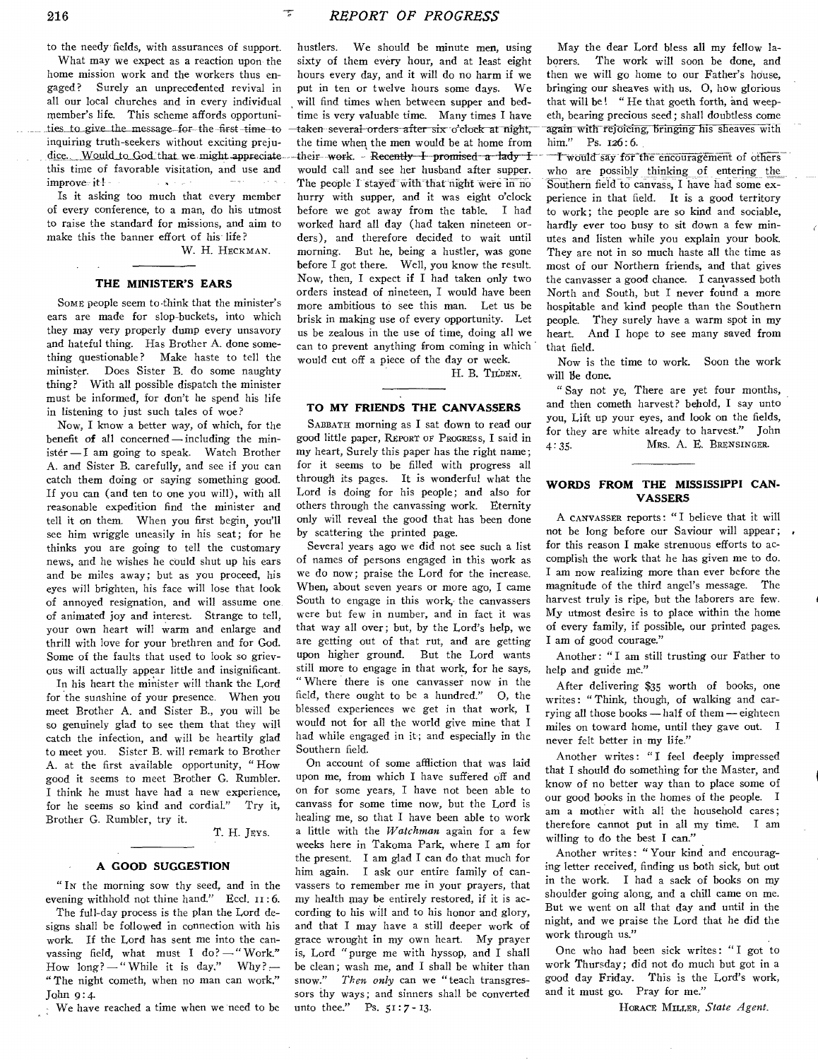216 *REPORT OF PROGRESS* 

to the needy fields, with assurances of support. What may we expect as a reaction upon the home mission work and the workers thus engaged? Surely an unprecedented revival in all our local churches and in every individual member's life. This scheme affords opportunities to give the message for the first time to inquiring truth-seekers without exciting preju dice. Would to God that we might appreciate. this time of favorable visitation, and use and improve it! -  $\sim$   $\sim$ 

Is it asking too much that every member of every conference, to a man, do his utmost to raise the standard for missions, and aim to make this the banner effort of his life?

W. H. HECKMAN.

#### **THE MINISTER'S EARS**

Somt people seem to-think that the minister's ears are made for slop-buckets, into which they may very properly dump every unsavory and hateful thing. Has Brother A. done something questionable? Make haste to tell the minister. Does Sister B. do some naughty thing? With all possible dispatch the minister must be informed, for don't he spend his life in listening to just such tales of woe?

Now, I know a better way, of which, for the benefit of all concerned—including the ministér - I am going to speak. Watch Brother A. and Sister B. carefully, and see if you can catch them doing or saying something good. If you can (and ten to one you will), with all reasonable expedition find the minister and tell it on them. When you first begin, you'll see him wriggle uneasily in his seat; for he thinks you are going to tell the customary news, and he wishes he could shut up his ears and be miles away; but as you proceed, his eyes will brighten, his face will lose that look of annoyed resignation, and will assume one, of animated joy and interest. Strange to tell, your own heart will warm and enlarge and thrill with love for your brethren and for God. Some of the faults that used to look so grievous will actually appear little and insignificant.

In his heart the minister will thank the Lord for the sunshine of your presence. When you meet Brother A. and Sister B., you will be so genuinely glad to see them that they will catch the infection, and will be heartily glad to meet you. Sister B. will remark to Brother A. at the first available opportunity, " How good it seems to meet Brother G. Rumbler. I think he must have had a new experience, for he seems so kind and cordial." Try it, Brother G. Rumbler, try it.

T. H. JEvs.

#### **A GOOD SUGGESTION**

" IN the morning sow thy seed, and in the evening withhold not thine hand." Eccl. 11:6.

The full-day process is the plan the Lord designs shall be followed in connection with his work. If the Lord has sent me into the canvassing field, what must I do? —" Work." How  $long?$  -" While it is day," Why? --" The night cometh, when no man can work." John g:4.

We have reached a time when we need to be

hustlers. We should be minute men, using sixty of them every hour, and at least eight hours every day, and it will do no harm if we put in ten or twelve hours some days. We will find times when between supper and bedtime is very valuable time. Many times I have taken several-orders after six o'clock at night, the time when the men would be at home from their work. Recently I promised a lady  $\pm$ would call and see her husband after supper. The people I stayed with that night were in no hurry with supper, and it was eight o'clock before we got away from the table. I had worked hard all day (had taken nineteen orders), and therefore decided to wait until morning. But he, being a hustler, was gone before I got there. Well, you know the result. Now, then, I expect if I had taken only two orders instead of nineteen, I would have been more ambitious to see this man. Let us be brisk in making use of every opportunity. Let us be zealous in the use of time, doing all we can to prevent anything from coming in which would cut off a piece of the day or week.

H. B. THDEN.

## **TO MY FRIENDS THE CANVASSERS**

SABBATH morning as I sat down to read our good little paper, REPORT OF PROGRESS, I said in my heart, Surely this paper has the right name; for it seems to be filled with progress all through its pages. It is wonderful what the Lord is doing for his people; and also for others through the canvassing work. Eternity only will reveal the good that has been done by scattering the printed page.

Several years ago we did not see such a list of names of persons engaged in this work as we do now; praise the Lord for the increase. When, about seven years or more ago, I came South to engage in this work, the canvassers were but few in number, and in fact it was that way all over; but, by the Lord's help, we are getting out of that rut, and are getting upon higher ground. But the Lord wants still more to engage in that work, for he says, " Where there is one canvasser now in the field, there ought to be a hundred." 0, the blessed experiences we get in that work, I would not for all the world give mine that I had while engaged in it; and especially in the Southern field.

On account of some affliction that was laid upon me, from which I have suffered off and on for some years, I have not been able to canvass for some time now, but the Lord is healing me, so that I have been able to work a little with the *Watchman* again for a few weeks here in Takoma Park, where I am for the present. I am glad I can do that much for him again. I ask our entire family of canvassers to remember me in your prayers, that my health may be entirely restored, if it is according to his will and to his honor and glory, and that I may have a still deeper work of grace wrought in my own heart. My prayer is, Lord "purge me with hyssop, and I shall be clean; wash me, and I shall be whiter than snow." *Then only* can we " teach transgressors thy ways; and sinners shall be converted unto thee." Ps. 51:7- 13.

May the dear Lord bless all my fellow laborers. The work will soon be done, and then we will go home to our Father's house, bringing our sheaves with us. 0, how glorious that will be! " He that goeth forth, and weepeth, bearing precious seed; shall doubtless come again with-rejoicing, bringing his sheaves with him." Ps. 126:6.

T would say for the encouragement of others who are possibly thinking of entering the Southern field to canvass, I have had some experience in that field. It is a good territory to work; the people are so kind and sociable, hardly ever too busy to sit down a few minutes and listen while you explain your book. They are not in so much haste all the time as most of our Northern friends, and that gives the canvasser a good chance. I canvassed both North and South, but I never found a more hospitable and kind people than the Southern people. They surely have a warm spot in my heart. And I hope to see many saved from that field.

Now is the time to work. Soon the work will Be done.

" Say not ye, There are yet four months, and then cometh harvest? behold, I say unto you, Lift up your eyes, and look on the fields, for they are white already to harvest." John 4:35. MRS. A. E. BRENSINGER.

## **WORDS FROM THE MISSISSIPPI CAN-VASSERS**

A CANVASSER reports: "I believe that it will not be long before our Saviour will appear; for this reason I make strenuous efforts to accomplish the work that he has given me to do. I am now realizing more than ever before the magnitude of the third angel's message. The harvest truly is ripe, but the laborers are few. My utmost desire is to place within the home of every family, if possible, our printed pages. I am of good courage."

Another: "I am still trusting our Father to help and guide me."

After delivering \$35 worth of books, one writes: " Think, though, of walking and carrying all those books —half of them — eighteen miles on toward home, until they gave out. I never felt better in my life."

Another writes: "I feel deeply impressed that I should do something for the Master, and know of no better way than to place some of our good books in the homes of the people. I am a mother with all the household cares; therefore cannot put in all my time. I am willing to do the best I can."

Another writes: " Your kind and encouraging letter received, finding us both sick, but out in the work. I had a sack of books on my shoulder going along, and a chill came on me. But we went on all that day and until in the night, and we praise the Lord that he did the work through us."

One who had been sick writes: "I got to work Thursday; did not do much but got in a good day Friday. This is the Lord's work, and it must go. Pray for me."

HORACE MILLER, *State Agent.*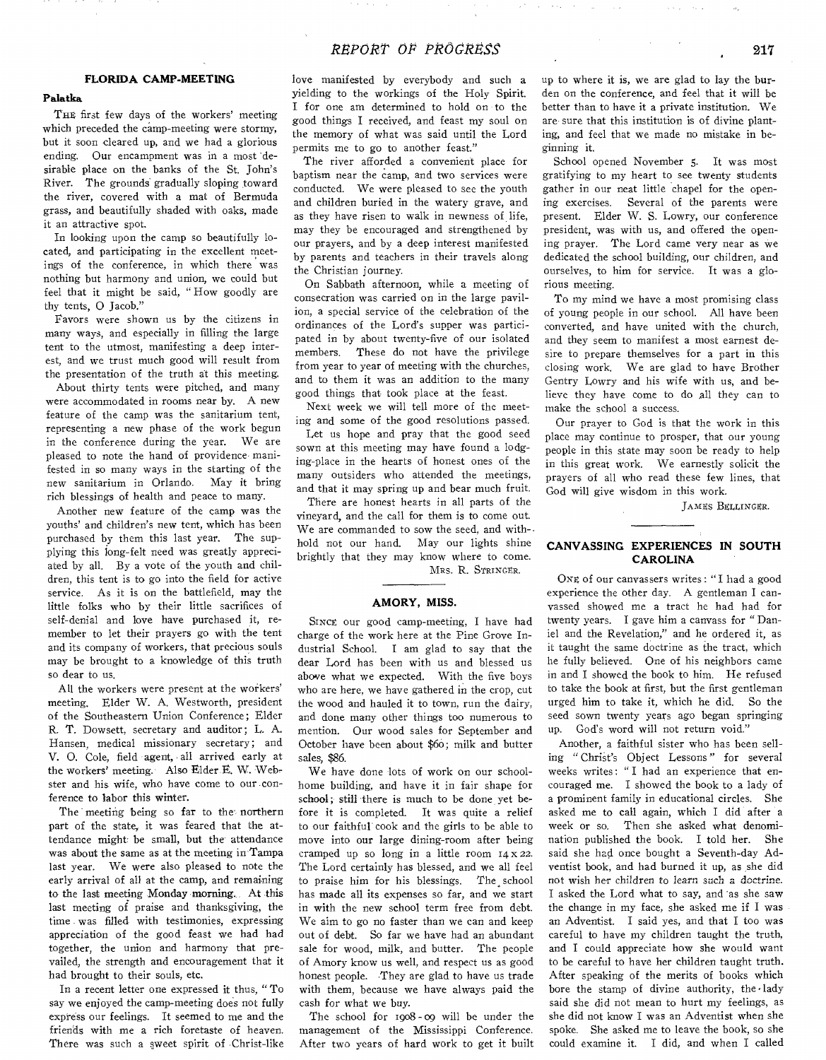# **FLORIDA CAMP-MEETING**

# **Palatka**

THE first few days of the workers' meeting which preceded the camp-meeting were stormy, but it soon cleared up, and we had a glorious ending. Our encampment was in a most 'desirable place on the banks of the St. John's River. The grounds gradually sloping toward the river, covered with a mat of Bermuda grass, and beautifully shaded with oaks, made it an attractive spot.

In looking upon the camp so beautifully located, and participating in the excellent meetings of the conference, in which there was nothing but harmony and union, we could but feel that it might be said, " How goodly are thy tents, 0 Jacob."

Favors were shown us by the citizens in many ways, and especially in filling the large tent to the utmost, manifesting a deep interest, and we trust much good will result from the presentation of the truth at this meeting.

About thirty tents were pitched, and many were accommodated in rooms near by. A new feature of the camp was the sanitarium tent, representing a new phase of the work begun in the conference during the year. We are pleased to note the hand of providence manifested in so many ways in the starting of the new sanitarium in Orlando. May it bring rich blessings of health and peace to many.

Another new feature of the camp was the youths' and children's new tent, which has been purchased by them this last year. The supplying this long-felt need was greatly appreciated by all. By a vote of the youth and children, this tent is to go into the field for active service. As it is on the battlefield, may the little folks who by their little sacrifices of self-denial and love have purchased it, remember to let their prayers go with the tent and its company of workers, that precious souls may be brought to a knowledge of this truth so dear to us.

All the workers were present at the workers' meeting. Elder W. A. Westworth, president of the Southeastern Union Conference; Elder R. T. Dowsett, secretary and auditor; L. A. Hansen, medical missionary secretary; and V. 0. Cole, field agent, all arrived early at the workers' meeting. Also Elder E. W. Webster and his wife, who have come to our conference to labor this winter.

The meeting being so far to the northern part of the state, it was feared that the attendance might be small, but the attendance was about the same as at the meeting in Tampa last year. We were also pleased to note the early arrival of all at the camp, and remaining to the last meeting Monday morning. At this last meeting of praise and thanksgiving, the time was filled with testimonies, expressing appreciation of the good feast we had had together, the union and harmony that prevailed, the strength and encouragement that it had brought to their souls, etc.

In a recent letter one expressed it thus, " To say we enjoyed the camp-meeting does not fully express our feelings. It seemed to me and the friends with me a rich foretaste of heaven. There was such a sweet spirit of Christ-like

love manifested by everybody and such a yielding to the workings of the Holy Spirit. I for one am determined to hold on to the good things I received, and feast my soul on the memory of what was said until the Lord permits me to go to another feast."

The river afforded a convenient place for baptism near the camp, and two services were conducted. We were pleased to see the youth and children buried in the watery grave, and as they have risen to walk in newness of life, may they be encouraged and strengthened by our prayers, and by a deep interest manifested by parents and teachers in their travels along the Christian journey.

On Sabbath afternoon, while a meeting of consecration was carried on in the large pavilion, a special service of the celebration of the ordinances of the Lord's supper was participated in by about twenty-five of our isolated members. These do not have the privilege from year to year of meeting with the churches, and to them it was an addition to the many good things that took place at the feast.

Next week we will tell more of the meeting and some of the good resolutions passed.

Let us hope and pray that the good seed sown at this meeting may have found a lodging-place in the hearts of honest ones of the many outsiders who attended the meetings, and that it may spring up and bear much fruit.

There are honest hearts in all parts of the vineyard, and the call for them is to come out. We are commanded to sow the seed, and withhold not our hand. May our lights shine brightly that they may know where to come. MRS. R. STRINGER.

#### **AMORY, MISS.**

SINCE our good camp-meeting, I have had charge of the work here at the Pine Grove Industrial School. I am glad to say that the dear Lord has been with us and blessed us above what we expected. With the five boys who are here, we have gathered in the crop, cut the wood and hauled it to town, run the dairy, and done many other things too numerous to mention. Our wood sales for September and October have been about \$6o; milk and butter sales, \$86.

We have done lots of work on our schoolhome building, and have it in fair shape for school; still there is much to be done, yet before it is completed. It was quite a relief to our faithful cook and the girls to be able to move into our large dining-room after being cramped up so long in a little room  $14 \times 22$ . The Lord certainly has blessed, and we all feel to praise him for his blessings. The school has made all its expenses so far, and we start in with the new school term free from debt. We aim to go no faster than we can and keep out of debt. So far we have had an abundant sale for wood, milk, and butter. The people of Amory know us well, and respect us as good honest people. They are glad to have us trade with them, because we have always paid the cash for what we buy.

The school for 1908 - oo will be under the management of the Mississippi Conference. After two years of hard work to get it built

up to where it is, we are glad to lay the burden on the conference, and feel that it will be better than to have it a private institution. We are sure that this institution is of divine planting, and feel that we made no mistake in beginning it.

School opened November 5. It was most gratifying to my heart to see twenty students gather in our neat little chapel for the opening exercises. Several of the parents were present. Elder W. S. Lowry, our conference president, was with us, and offered the opening prayer. The Lord came very near as we dedicated the school building, our children, and ourselves, to him for service. It was a glorious meeting.

To my mind we have a most promising class of young people in our school. All have been converted, and have united with the church, and they seem to manifest a most earnest desire to prepare themselves for a part in this closing work. We are glad to have Brother Gentry Lowry and his wife with us, and believe they have come to do all they can to make the school a success.

Our prayer to God is that the work in this place may continue to prosper, that our young people in this state may soon be ready to help in this great work. We earnestly solicit the prayers of all who read these few lines, that God will give wisdom in this work.

JAMES BELLINGER.

## **CANVASSING EXPERIENCES IN SOUTH CAROLINA**

ONE of our canvassers writes : "I had a good experience the other day. A gentleman I canvassed showed me a tract he had had for twenty years. I gave him a canvass for " Daniel and the Revelation," and he ordered it, as it taught the same doctrine as the tract, which he fully believed. One of his neighbors came in and I showed the book to him. He refused to take the book at first, but the first gentleman urged him to take it, which he did. So the seed sown twenty years ago began springing up. God's word will not return void."

Another, a faithful sister who has been selling " Christ's Object Lessons " for several weeks writes: "I had an experience that encouraged me. I showed the book to a lady of a prominent family in educational circles. She asked me to call again, which I did after a week or so. Then she asked what denomi-<br>nation published the book. I told her. She nation published the book. I told her. said she had once bought a Seventh-day Adventist book, and had burned it up, as she did not wish her children to learn such a doctrine. I asked the Lord what to say, and 'as she saw the change in my face, she asked me if I was an Adventist. I said yes, and that I too was careful to have my children taught the truth, and I could appreciate how she would want to be careful to have her children taught truth. After speaking of the merits of books which bore the stamp of divine authority, the lady said she did not mean to hurt my feelings, as she did not know I was an Adventist when she spoke. She asked me to leave the book, so she could examine it. I did, and when I called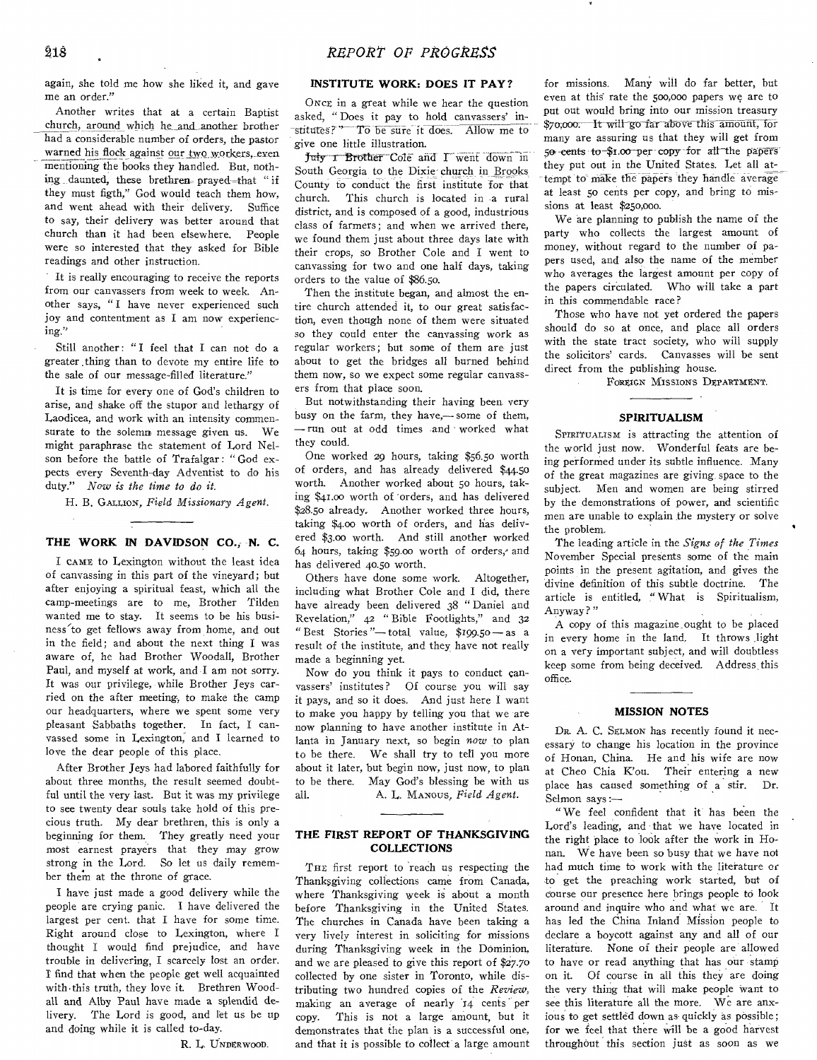again, she told me how she liked it, and gave me an order."

Another writes that at a certain Baptist church, around which he and another brother had a considerable number of orders, the pastor warned his flock against our two workers, even mentioning the books they handled. But, nothing daunted, these brethren-prayed-that "if they must figth," God would teach them how, and went ahead with their delivery. Suffice to say, their delivery was better around that church than it had been elsewhere. People were so interested that they asked for Bible readings and other instruction.

It is really encouraging to receive the reports from our canvassers from week to week. Another says, "I have never experienced such joy and contentment as I am now experiencing."

Still another: "I feel that I can not do a greater thing than to devote my entire life to the sale of our message-filled literature."

It is time for every one of God's children to arise, and shake off the stupor and lethargy of Laodicea, and work with an intensity commensurate to the solemn message given us. We might paraphrase the statement of Lord Nelson before the battle of Trafalgar: " God expects every Seventh-day Adventist to do his duty." *Now is the time to do it.* 

H. B. GALLION, *Field Missionary Agent.* 

## **THE WORK IN DAVIDSON CO.,- N. C.**

I CAME to Lexington without the least idea of canvassing in this part of the vineyard; but after enjoying a spiritual feast, which all the camp-meetings are to me, Brother Tilden wanted me to stay. It seems to be his business'to get fellows away from home, and out in the field; and about the next thing I was aware of, he had Brother Woodall, Brother Paul, and myself at work, and I am not sorry. It was our privilege, while Brother Jeys carried on the after meeting, to make the camp our headquarters, where we spent some very pleasant Sabbaths together. In fact, I canvassed some in Lexington; and I learned to love the dear people of this place.

After Brother Jeys had labored faithfully for about three months, the result seemed doubtful until the very last. But it was my privilege to see twenty dear souls take hold of this precious truth. My dear brethren, this is only a beginning for them. They greatly need your most earnest prayers that they may grow strong in the Lord. So let us daily remember them at the throne of grace.

I have just made a good delivery while the people are crying panic. I have delivered the largest per cent. that I have for some time. Right around close to Lexington, where I thought I would find prejudice, and have trouble in delivering, I scarcely lost an order. r find that when the people get well acquainted with this truth, they love it. Brethren Woodall and Alby Paul have made a splendid delivery. The Lord is good, and let us be up and doing while it is called to-day.

R. L. UNDERWOOD.

# **INSTITUTE WORK: DOES IT PAY?**

ONCE, in a great while we hear the question asked, "Does it pay to hold canvassers' institutes?" To be sure it does. Allow me to give one little illustration.

Juty I Brother Cole and I went down in South Georgia to the Dixie- church in Brooks County to conduct the first institute for that church. This church is located in a rural district, and is composed of a good, industrious class of farmers; and when we arrived there, we found them just about three days late with their crops, so Brother Cole and I went to canvassing for two and one half days, taking orders to the value of \$86.50.

Then the institute began, and almost the entire church attended it, to our great satisfaction, even though none of them were situated so they could enter the canvassing work as regular workers; but some of them are just about to get the bridges all burned behind them now, so we expect some regular canvassers from that place soon.

But notwithstanding their having been very busy on the farm, they have,— some of them, — run out at odd times and worked what they could.

One worked 29 hours, taking \$56.5o worth of orders, and has already delivered \$44.5o worth. Another worked about 5o hours, taking \$41.00 worth of 'orders, and has delivered \$28.50 already, Another worked three hours, taking \$4.00 worth of orders, and has delivered \$3.00 worth. And still another worked 64 hours, taking \$59.00 worth of orders,' and has delivered 40.50 worth.

Others have done some work. Altogether, including what Brother Cole and I did, there have already been delivered 38 "Daniel and Revelation," 42 " Bible Footlights," and 32 "Best Stories "— total value, \$199.50— as a result of the institute, and they have not really made a beginning yet.

Now do you think it pays to conduct canvassers' institutes? Of course you will say it pays, and so it does. And just here I want to make you happy by telling you that we are now planning to have another institute in Atlanta in January next, so begin *now* to plan to be there. We shall try to tell you more about it later, but begin now, just now, to plan to be there. May God's blessing be with us all. A. L. MANOUS, *Field Agent.* 

# **THE FIRST REPORT OF THANKSGIVING COLLECTIONS**

THE first report to reach us respecting the Thanksgiving collections came from Canada, where Thanksgiving week is about a month before Thanksgiving in the United States. The churches in Canada have been taking a very lively interest in soliciting for missions during Thanksgiving week in the Dominion, and we are pleased to give this report of \$27.70 collected by one sister in Toronto, while distributing two hundred copies of the *Review,*  making an average of nearly "14. cents per copy. This is not a large amount, but it demonstrates that the plan is a successful one, and that it is possible to collect a large amount for missions. Many will do far better, but even at this rate the 500,00o papers we arc to put out would bring into our mission treasury \$70,000. It will go far above this amount, for many are assuring us that they will get from  $50$ -cents to  $$1.00$  per copy for all the papers they put out in the United States. Let all attempt to make the papers they handle average at least 50 cents per copy, and bring to missions at least \$25o,000.

We are planning to publish the name of the party who collects the largest amount of money, without regard to the number of papers used, and also the name of the member who averages the largest amount per copy of the papers circulated. Who will take a part in this commendable race?

Those who have not yet ordered the papers should do so at once, and place all orders with the state tract society, who will supply the solicitors' cards. Canvasses will be sent direct from the publishing house.

FOREIGN Missions DEPARTMENT.

## **SPIRITUALISM**

**SPIRITUALISM** is attracting the attention of the world just now. Wonderful feats are being performed under its subtle influence. Many of the great magazines are giving space to the subject. Men and women are being stirred by the demonstrations of power, and scientific men are unable to explain the mystery or solve the problem.

The leading article in the *Signs of the Times*  November Special presents some of the main points in the present agitation, and gives the divine definition of this subtle doctrine. The article is entitled, "What is Spiritualism, Anyway?"

A copy of this magazine-ought to be placed in every home in the land, It throws light on a very important subject, and will doubtless keep some from being deceived. Address, this office.

#### **MISSION NOTES**

DR. A. C. SELMON has recently found it necessary to change his location in the province of Honan, China. He and his wife are now at Cheo Chia K'ou. Their entering a new place has caused something of a stir. Dr. Selmon says :—

" We feel confident that it has been the Lord's leading, and that we have located in the right place to look after the work in Honan. We have been so busy that we have not had much time to work with the literature or to get the preaching work started, but of course our presence here brings people to look around and inquire who and what we are. It has led the China Inland Mission people to declare a boycott against any and all of our literature. None of their people are allowed to have or read anything that has our stamp on it. Of course in all this they are doing the very thing that will make people want to see this literature all the more. We are anxious to get settled down as quickly as possible; for we feel that there will be a good harvest throughout this section just as soon as we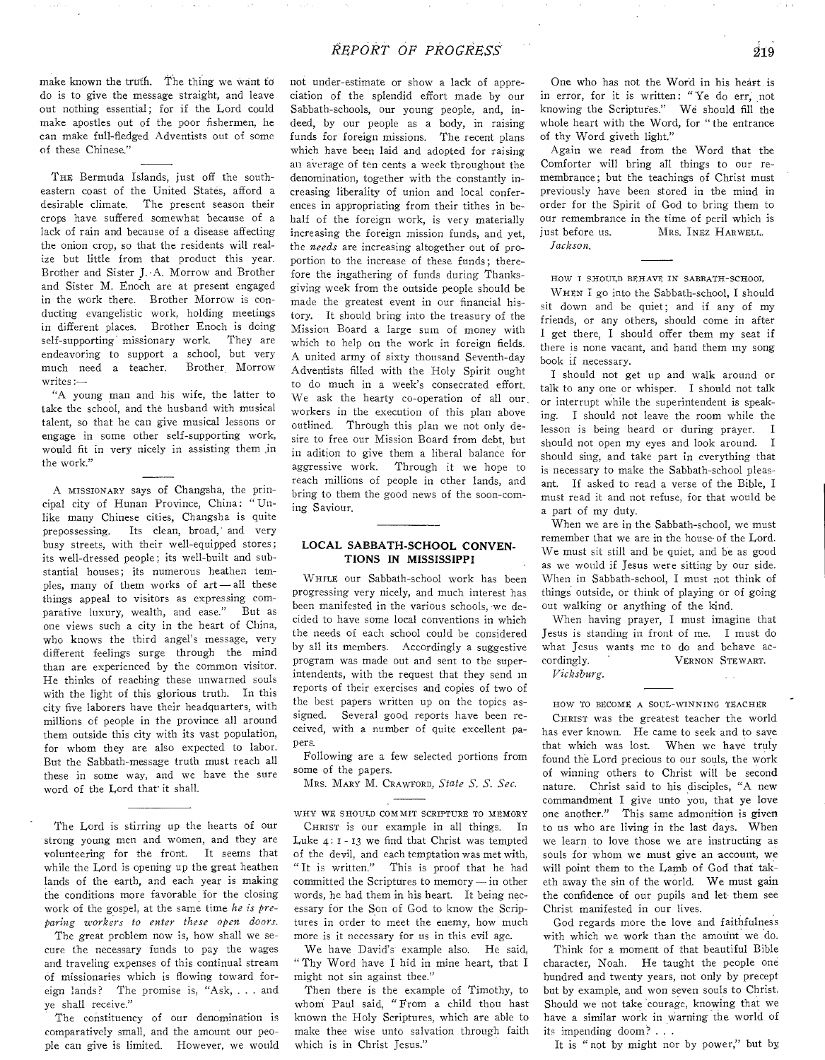make known the truth. The thing we want to do is to give the message straight, and leave out nothing essential; for if the Lord could make apostles out of the poor fishermen, he can make full-fledged Adventists out of some of these Chinese."

THE Bermuda Islands, just off the southeastern coast of the United States, afford a desirable climate. The present season their crops have suffered somewhat because of a lack of rain and because of a disease affecting the onion crop, so that the residents will realize but little from that product this year. Brother and Sister J. -A. Morrow and Brother and Sister M. Enoch are at present engaged in the work there. Brother Morrow is conducting evangelistic work, holding meetings in different places. Brother Enoch is doing self-supporting missionary work. They are endeavoring to support a school, but very much need a teacher. Brother Morrow writes :—

"A young man and his wife, the latter to take the school, and the husband with musical talent, so that he can give musical lessons or engage in some other self-supporting work, would fit in very nicely in assisting them ,in the work."

A MISSIONARY says of Changsha, the principal city of Hunan Province, China: "Unlike many Chinese cities, Changsha is quite prepossessing. Its clean, broad,' and very busy streets, with their well-equipped stores; its well-dressed people; its well-built and substantial houses; its numerous heathen temples, many of them works of art—all these things appeal to visitors as expressing comparative luxury, wealth, and ease." But as one views such a city in the heart of China, who knows the third angel's message, very different feelings surge through the mind than are experienced by the common visitor. He thinks of reaching these unwarned souls with the light of this glorious truth. In this city five laborers have their headquarters, with millions of people in the province all around them outside this city with its vast population, for whom they are also expected to labor. But the Sabbath-message truth must reach all these in some way, and we have the sure word of the Lord that it shall.

The Lord is stirring up the hearts of our strong young men and women, and they are volunteering for the front. It seems that while the Lord is opening up the great heathen lands of the earth, and each year is making the conditions more favorable for the closing work of the gospel, at the same time *he is preparing workers to enter these open doors.* 

The great problem now is, how shall we secure the necessary funds to pay the wages and traveling expenses of this continual stream of missionaries which is flowing toward foreign lands? The promise is, "Ask, . . . and ye shall receive."

The constituency of our denomination is comparatively small, and the amount our people can give is limited. However, we would not under-estimate or show a lack of appreciation of the splendid effort made by our Sabbath-schools, our young people, and, indeed, by our people as a body, in raising funds for foreign missions. The recent plans which have been laid and adopted for raising an average of ten cents a week throughout the denomination, together with the constantly increasing liberality of union and local conferences in appropriating from their tithes in behalf of the foreign work, is very materially increasing the foreign mission funds, and yet, the *needs* are increasing altogether out of proportion to the increase of these funds; therefore the ingathering of funds during Thanksgiving week from the outside people should be made the greatest event in our financial history. It should bring into the treasury of the Mission Board a large sum of money with which to help on the work in foreign fields. A united army of sixty thousand Seventh-day Adventists filled with the Holy Spirit ought to do much in a week's consecrated effort. We ask the hearty co-operation of all our, workers in the execution of this plan above outlined. Through this plan we not only desire to free our Mission Board from debt, but in adition to give them a liberal balance for aggressive work. Through it we hope to reach millions of people in other lands, and bring to them the good news of the soon-coming Saviour.

## **LOCAL SABBATH-SCHOOL CONVEN-TIONS IN MISSISSIPPI**

WHILE our Sabbath-school work has been progressing very nicely, and much interest has been manifested in the various schools, we decided to have some local conventions in which the needs of each school could be considered by all its members. Accordingly a suggestive program was made out and sent to the superintendents, with the request that they send in reports of their exercises and copies of two of the best papers written up on the topics assigned. Several good reports have been received, with a number of quite excellent papers.

Following are a few selected portions from some of the papers.

MRS. MARY M. CRAWOORD, *State S. S. Sec.* 

WHY WE SHOULD COMMIT SCRIPTURE TO MEMORY

CHRIST is our example in all things. In Luke 4: I - 13 we find that Christ was tempted of the devil, and each temptation was met with, "It is written." This is proof that he had committed the Scriptures to memory—in other words, he had them in his heart. It being necessary for the Son of God to know the Scriptures in order to meet the enemy, how much more is it necessary for us in this evil age.

We have David's example also. He said, " Thy Word have I hid in mine heart, that I might not sin against thee."

Then there is the example of Timothy, to whom Paul said, " From a child thou hast known the Holy Scriptures, which are able to make thee wise unto salvation through faith which is in Christ Jesus."

One who has not the Word in his heart is in error, for it is written: " Ye do err, not knowing the Scriptures." We should fill the whole heart with the Word, for " the entrance of thy Word giveth light."

Again we read from the Word that the Comforter will bring all things to our remembrance; but the teachings of Christ must previously have been stored in the mind in order for the Spirit of God to bring them to our remembrance in the time of peril which is just before us. MRS. INEz HARWELL. *Jackson.* 

HOW I SHOULD BEHAVE IN SABBATH-SCHOOL

WHEN I go into the Sabbath-school, I should sit down and be quiet; and if any of my friends, or any others, should come in after I get there, I should offer them my seat if there is none vacant, and hand them my song book if necessary.

I should not get up and walk around or talk to any one or whisper. I should not talk or interrupt while the superintendent is speaking. I should not leave the room while the lesson is being heard or during prayer. I should not open my eyes and look around. I should sing, and take part in everything that is necessary to make the Sabbath-school pleasant. If asked to read a verse of the Bible, I must read it and not refuse, for that would be a part of my duty.

When we are in the Sabbath-school, we must remember that we are in the house-of the Lord. We must sit still and be quiet, and be as good as we would if Jesus were sitting by our side. When in Sabbath-school, I must not think of things outside, or think of playing or of going out walking or anything of the kind.

When having prayer, I must imagine that Jesus is standing in front of me. I must do what Jesus wants me to do and behave accordingly. ' VERNON STEWART.

*Vicksburg.* 

HOW TO BECOME A SOUL-WINNING TEACHER

CHRIST was the greatest teacher the world has ever known. He came to seek and to save that which was lost. When we have truly found the Lord precious to our souls, the work of winning others to Christ will be second nature. Christ said to his disciples, "A new commandment I give unto you, that ye love one another." This same admonition is given to us who are living in the last days. When we learn to love those we are instructing as souls for whom we must give an account, we will point them to the Lamb of God that taketh away the sin of the world. We must gain the confidence of our pupils and let them see Christ manifested in our lives.

God regards more the love and faithfulness with which we work than the amount we do.

Think for a moment of that beautiful Bible character, Noah. He taught the people one hundred and twenty years, not only by precept but by example, and won seven souls to Christ. Should we not take courage, knowing that we have a similar work in warning the world of its impending doom? . . .

It is " not by might nor by power," but by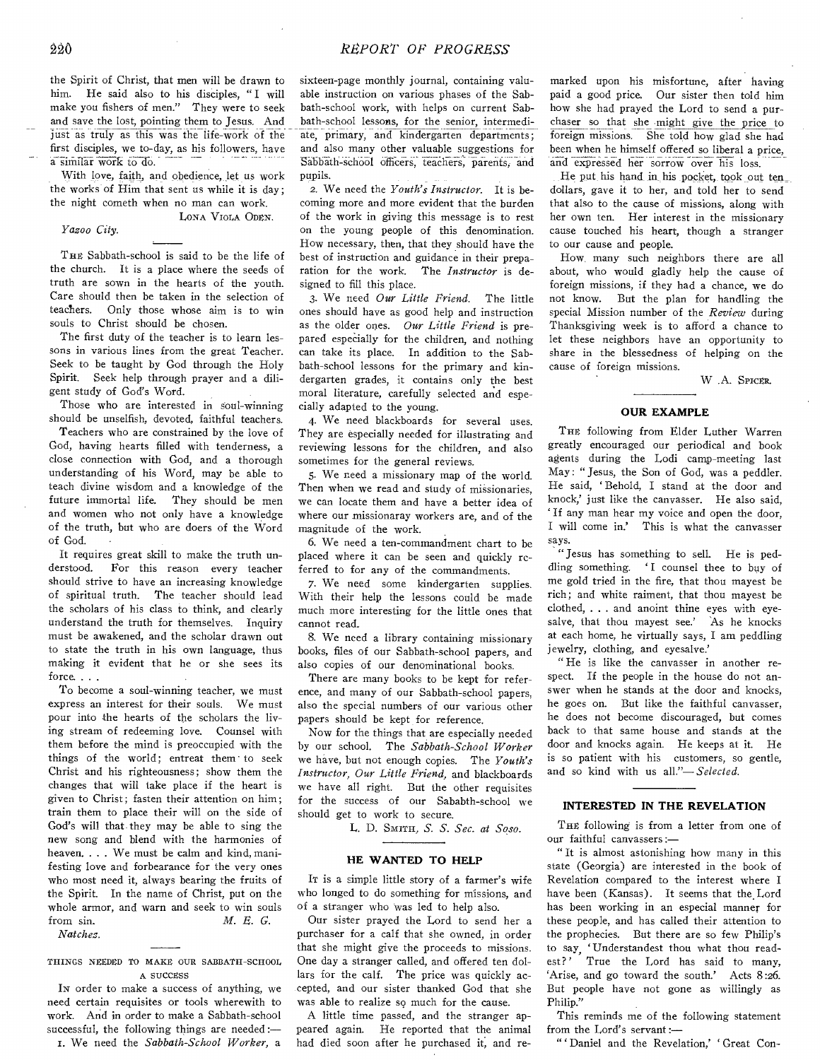the Spirit of Christ, that men will be drawn to him. He said also to his disciples, " I will make you fishers of men." They were to seek and save the lost, pointing them to Jesus. And just as truly as this was the life-work of the first disciples, we to-day, as his followers, have a similar work to do.

With love, faith, and obedience, let us work the works of Him that sent us while it is day; the night cometh when no man can work. LONA VIOLA ODEN.

#### *Yazoo City.*

THE Sabbath-school is said to be the life of the church. It is a place where the seeds of truth are sown in the hearts of the youth. Care should then be taken in the selection of teachers. Only those whose aim is to win souls to Christ should be chosen.

The first duty of the teacher is to learn lessons in various lines from the great Teacher. Seek to be taught by God through the Holy Spirit. Seek help through prayer and a diligent study of God's Word.

Those who are interested in soul-winning should be unselfish, devoted, faithful teachers.

Teachers who are constrained by the love of God, having hearts filled with tenderness, a close connection with God, and a thorough understanding of his Word, may be able to teach divine wisdom and a knowledge of the future immortal life. They should be men and women who not only have a knowledge of the truth, but who are doers of the Word of God.

It requires great skill to make the truth understood. For this reason every teacher should strive to have an increasing knowledge of spiritual truth. The teacher should lead the scholars of his class to think, and clearly understand the truth for themselves. Inquiry must be awakened, and the scholar drawn out to state the truth in his own language, thus making it evident that he or she sees its force. . . .

To become a soul-winning teacher, we must express an interest for their souls. We must pour into the hearts of the scholars the living stream of redeeming love. Counsel with them before the mind is preoccupied with the things of the world; entreat them to seek Christ and his righteousness; show them the changes that will take place if the heart is given to Christ; fasten their attention on him; train them to place their will on the side of God's will that they may be able to sing the new song and blend with the harmonies of heaven. . . . We must be calm and kind, manifesting love and forbearance for the very ones who most need it, always bearing the fruits of the Spirit. In the name of Christ, put on the whole armor, and warn and seek to win souls from sin. *M. R. G.* 

*Natchez.* 

## THINGS NEEDED TO MAKE OUR SABBATH-SCHOOL A SUCCESS

IN order to make a success of anything, we need certain requisites or tools wherewith to work. And in order to make a Sabbath-school successful, the following things are needed:— I. We need the *Sabbath-School Worker,* a

sixteen-page monthly journal, containing valuable instruction on various phases of the Sabbath-school work, with helps on current Sabbath-school lessons, for the senior, intermediate, primary, and kindergarten departments; and also many other valuable suggestions for Sabbath-school officers, teachers, parents, and pupils.

2. We need the *Youth's Instructor.* It is becoming more and more evident that the burden of the work in giving this message is to rest on the young people of this denomination. How necessary, then, that they should have the best of instruction and guidance in their preparation for the work. The *Instructor* is designed to fill this place.

3. We need *Our Little Friend.* The little ones should have as good help and instruction as the older ones. *Our Little Friend* is prepared especially for the children, and nothing can take its place. In addition to the Sabbath-school lessons for the primary and kindergarten grades, it contains only the best moral literature, carefully selected and especially adapted to the young.

4. We need blackboards for several uses. They are especially needed for illustrating and reviewing lessons for the children, and also sometimes for the general reviews.

5. We need a missionary map of the world. Then when we read and study of missionaries, we can locate them and have a better idea of where our missionaray workers are, and of the magnitude of the work.

6. We need a ten-commandment chart to be placed where it can be seen and quickly referred to for any of the commandments.

7. We need some kindergarten supplies. With their help the lessons could be made much more interesting for the little ones that cannot read.

8. We need a library containing missionary books, files of our Sabbath-school papers, and also copies of our denominational books.

There are many books to be kept for reference, and many of our Sabbath-school papers, also the special numbers of our various other papers should be kept for reference.

Now for the things that are especially needed by our school. The *Sabbath-School Worker*  we have, but not enough copies. The *Youth's Instructor, Our Little Friend,* and blackboards we have all right. But the other requisites for the success of our Sababth-school we should get to work to secure.

L. D. SMITH, *S. S. Sec. at Soso.* 

#### **HE WANTED TO HELP**

IT is a simple little story of a farmer's wife who longed to do something for missions, and of a stranger who was led to help also.

Our sister prayed the Lord to send her a purchaser for a calf that she owned, in order that she might give the proceeds to missions. One day a stranger called, and offered ten dollars for the calf. The price was quickly accepted, and our sister thanked God that she was able to realize so much for the cause.

A little time passed, and the stranger appeared again. He reported that the animal had died soon after he purchased it, and remarked upon his misfortune, after having paid a good price. Our sister then told him how she had prayed the Lord to send a purchaser so that she might give the price to foreign missions. She told how glad she had been when he himself offered so liberal a price, and expressed her sorrow over his loss.

He put his hand in his pocket, took out ten\_ dollars, gave it to her, and told her to send that also to the cause of missions, along with her own ten. Her interest in the missionary cause touched his heart, though a stranger to our cause and people.

How, many such neighbors there are all about, who would gladly help the cause of foreign missions, if they had a chance, we do not know. But the plan for handling the special Mission number of the *Review* during Thanksgiving week is to afford a chance to let these neighbors have an opportunity to share in the blessedness of helping on the cause of foreign missions.

W .A. SPICER.

#### **OUR EXAMPLE**

THE following from Elder Luther Warren greatly encouraged our periodical and book agents during the Lodi camp-meeting last May: "Jesus, the Son of God, was a peddler. He said, 'Behold, I stand at the door and knock,' just like the canvasser. He also said, ' If any man hear my voice and open the door, I will come in.' This is what the canvasser says.

" Jesus has something to sell. He is peddling something. 'I counsel thee to buy of me gold tried in the fire, that thou mayest be rich; and white raiment, that thou mayest be clothed, . . . and anoint thine eyes with eyesalve, that thou mayest see.' As he knocks at each home, he virtually says, I am peddling jewelry, clothing, and eyesalve.'

" He is like the canvasser in another respect. If the people in the house do not answer when he stands at the door and knocks, he goes on. But like the faithful canvasser, he does not become discouraged, but comes back to that same house and stands at the door and knocks again. He keeps at it. He is so patient with his customers, so gentle, and so kind with us *all."—Selected.* 

## **INTERESTED IN THE REVELATION**

THE following is from a letter from one of our faithful canvassers:—

" It is almost astonishing how many in this state (Georgia) are interested in the book of Revelation compared to the interest where I have been (Kansas). It seems that the Lord has been working in an especial manner for these people, and has called their attention to the prophecies. But there are so few Philip's to say, `Understandest thou what thou readest?' True the Lord has said to many, `Arise, and go toward the south.' Acts 8:26. But people have not gone as willingly as Philip."

This reminds me of the following statement from the Lord's servant :—

" 'Daniel and the Revelation,' Great Con-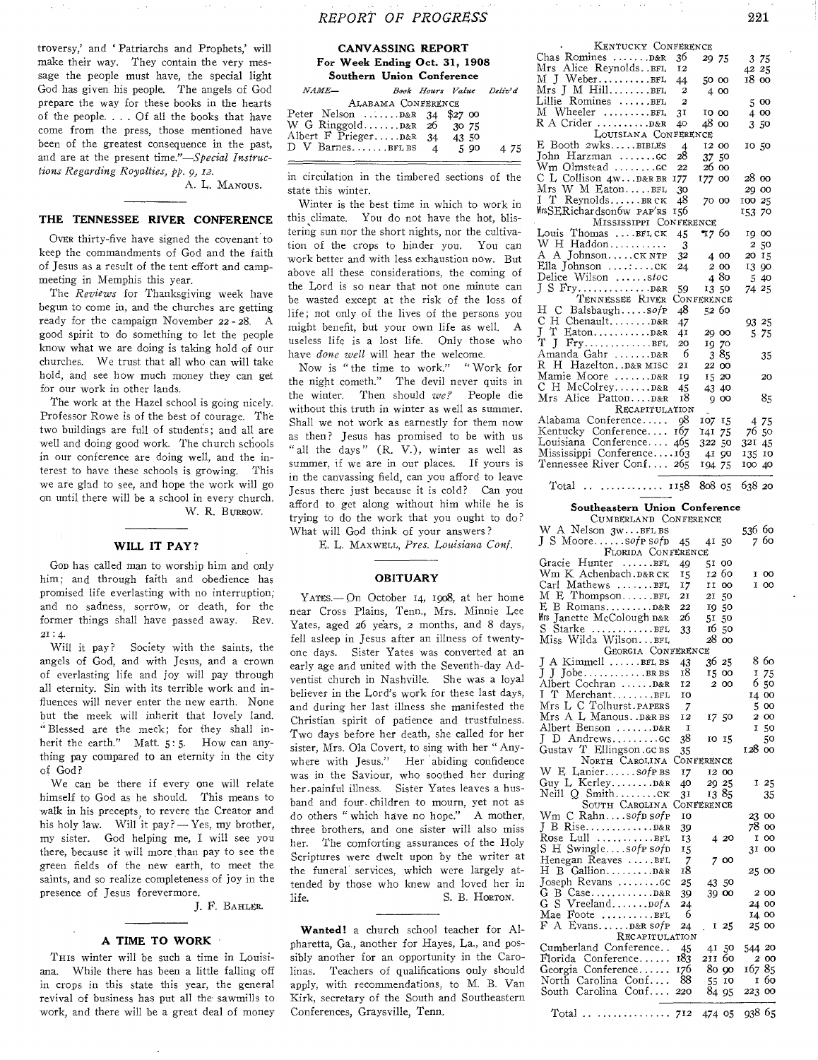troversy,' and ' Patriarchs and Prophets,' will make their way. They contain the very message the people must have, the special light God has given his people. The angels of God prepare the way for these books in the hearts of the people. . . . Of all the books that have come from the press, those mentioned have been of the greatest consequence in the past, and are at the present *time."—Special Instructions Regarding Royalties, pp. 9, 12.* 

A. L. MANOUS.

# **THE TENNESSEE RIVER CONFERENCE**

OVER thirty-five have signed the covenant to keep the commandments of God and the faith of Jesus as a result of the tent effort and campmeeting in Memphis this year.

The *Reviews* for Thanksgiving week have begun to come in, and the churches are getting ready for the campaign November 22 - 28. A good spirit to do something to let the people know what we are doing is taking hold of our churches. We trust that all who can will take hold, and see how much money they can get for our work in other lands.

The work at the Hazel school is going nicely. Professor Rowe is of the best of courage. The two buildings are full of students; and all are well and doing good work. The church schools in our conference are doing well, and the interest to have these schools is growing. This we are glad to see, and hope the work will go on until there will be a school in every church. W. R. BURROW.

## **WILL IT PAY?**

GOD has called man to worship him and only him; and through faith and obedience has promised life everlasting with no interruption; and no sadness, sorrow, or death, for the former things shall have passed away. Rev. 21 : 4.

Will it pay? Society with the saints, the angels of God, and with Jesus, and a crown of everlasting life and joy will pay through all eternity. Sin with its terrible work and influences will never enter the new earth. None but the meek will inherit that lovely land. " Blessed are the meek; for they shall inherit the earth." Matt. 5:5. How can anything pay compared to an eternity in the city of God?

We can be there if every one will relate himself to God as he should. This means to walk in his precepts, to revere the Creator and his holy law. Will it pay? - Yes, my brother, my sister. God helping me, I will see you there, because it will more than pay to see the green fields of the new earth, to meet the saints, and so realize completeness of joy in the presence of Jesus forevermore.

J. F. BAHLER.

#### **A TIME TO WORK**

THIS winter will be such a time in Louisiana. While there has been a little falling off in crops in this state this year, the general revival of business has put all the sawmills to work, and there will be a great deal of money

# *REPORT OF PROGRESS* 221

## **CANVASSING REPORT For Week Ending Oct. 31, 1908 Southern Union Conference**  *NAME— Book Hours Value Deily' d*

ALABAMA CONFERENCE Peter Nelson  $\dots \dots \dots \dots \dots \dots$  \$27 00 W G Ringgold ....... D&R 26 30 75<br>Albert F Prieger..... D&R 34 43 50 Albert F Prieger..... D&R 34 43 50<br>D V Barnes.......BFL BS 4 5 90 D V Barnes.......BFL BS  $4$  5 90 4 75

in circulation in the timbered sections of the state this winter.

Winter is the best time in which to work in this climate. You do not have the hot, blistering sun nor the short nights, nor the cultivation of the crops to hinder you. You can work better and with less exhaustion now. But above all these considerations, the coming of the Lord is so near that not one minute can be wasted except at the risk of the loss of life; not only of the lives of the persons you might benefit, but your own life as well. A useless life is a lost life. Only those who have *done well* will hear the welcome.

Now is "the time to work." " Work for the night cometh." The devil never quits in the winter. Then should we? People die without this truth in winter as well as summer. Shall we not work as earnestly for them now as then? Jesus has promised to be with us "all the days" (R. V.), winter as well as summer, if we are in our places. If yours is in the canvassing field, can you afford to leave Jesus there just because it is cold? Can you afford to get along without him while he is trying to do the work that you ought to do? What will God think of your answers?

E. L. MAXWELL, *Pres. Louisiana Conf.* 

## **OBITUARY**

YATES.— On October 14, 1908, at her home near Cross Plains, Tenn., Mrs. Minnie Lee Yates, aged 26 years, 2 months, and 8 days, fell asleep in Jesus after an illness of twentyone days. Sister Yates was converted at an early age and united with the Seventh-day Adventist church in Nashville. She was a loyal believer in the Lord's work for these last days, and during her last illness she manifested the Christian spirit of patience and trustfulness. Two days before her death, she called for her sister, Mrs. Ola Covert, to sing with her " Anywhere with Jesus." Her abiding confidence was in the Saviour, who soothed her during her.painful illness. Sister Yates leaves a husband and four. children to mourn, yet not as do others " which have no hope." A mother, three brothers, and one sister will also miss her. The comforting assurances of the Holy Scriptures were dwelt upon by the writer at the funeral services, which were largely attended by those who knew and loved her in life. S. B. HORTON.

**Wanted!** a church school teacher for Alpharetta, Ga., another for Hayes, La., and possibly another for an opportunity in the Carolinas. Teachers of qualifications only should apply, with recommendations, to M. B. Van Kirk, secretary of the South and Southeastern Conferences, Graysville, Tenn.

| KENTUCKY CONFERENCE                                   |                         |            |        |
|-------------------------------------------------------|-------------------------|------------|--------|
| Chas Romines  D&R                                     | 36                      | 29 75      | 3 75   |
|                                                       | 12                      |            | 42 25  |
| Mrs Alice Reynolds <mark>.</mark> BFL<br>M J WeberBFL | 44                      | 50 00      | 18 00  |
| $Mrs$ J M $Hill$ $BFL$                                | $\mathbf{2}$            | 4 00       |        |
| Lillie Romines BFL                                    | $\overline{a}$          |            | 5 00   |
| M Wheeler BFL                                         | 3 <sub>I</sub>          | IO 00      | 4 00   |
|                                                       | 40                      | 48 00      | 3 50   |
| LOUISIANA CONFERENCE                                  |                         |            |        |
| E Booth 2wksBIBLES                                    | $\overline{\mathbf{A}}$ | 12 00      | 10 50  |
| John Harzman cc                                       | 28                      | 37 50      |        |
| Wm Olmstead cc                                        | 22                      | 26 00      |        |
| C L Collison 4wD&R BR                                 | 177                     | 177 00     | 28 00  |
| Mrs W M EatonBFL                                      | -30                     |            | 29 00  |
| I.<br>T ReynoldsBRCK                                  | 48                      | 70 00      | 100 25 |
| MrsSERichardson6w PAP'RS                              | 156                     |            | 153 70 |
| MISSISSIPPI CONFERENCE                                |                         |            |        |
| Louis Thomas BFLCK                                    | 45                      | I7 60      | 19 00  |
|                                                       | 3                       |            | 250    |
| W H Haddon<br>A A JohnsonCK NTP                       | 32                      | 4 00       | 20 15  |
| Ella Johnson $\dots$ $CK$                             | 24                      | 2 00       | 13 90  |
| Delice Wilson stoc                                    |                         | 480        | 5 40   |
|                                                       | 59                      | 13 50      | 74 25  |
| TENNESSEE RIVER                                       |                         | CONFERENCE |        |
| H C BalsbaughsofP                                     | 48                      | 52 60      |        |
|                                                       | 47                      |            | 93 25  |
|                                                       | 4I                      | 20 00      | 5 75   |
| Ϋ<br>J                                                | 20                      | 19 70      |        |
| Amanda Gahr  D&R                                      | - 6                     | 385        | 35     |
| R H Hazelton. . D&R MISC                              | 21                      | 22 00      |        |
| Mamie Moore D&R                                       | IQ                      | 15 20      | 20     |
| C H McColrey D&R                                      | 45                      | 43 40      |        |
| Mrs Alice Patton D&R                                  | 18                      | $Q$ OO     | 85     |
| <b>RECAPITULATION</b>                                 |                         |            |        |
| Alabama Conference                                    | 98                      | 107 15     | 4 75   |
| Kentucky Conference                                   | 167                     | 141 75     | 76 50  |
| Louisiana Conference                                  | 465                     | 322 50     | 321 45 |
| Mississippi Conference163                             |                         | 41 90      | 135 10 |
| Tennessee River Conf 265                              |                         | 194 75     | 100 40 |
|                                                       |                         |            |        |

Total .. ........... 1158 808 05 638 20

## **Southeastern Union Conference**

| CUMBERLAND CONFERENCE     |     |            |       |                 |
|---------------------------|-----|------------|-------|-----------------|
| W A Nelson 3wBFL BS       |     |            |       | 536 60          |
|                           | 45  | 4150       |       | 760             |
| FLORIDA CONFERENCE        |     |            |       |                 |
| Gracie Hunter BFL         | 49  | 51         | oo    |                 |
| Wm K Achenbach.D&RCK      | 15  | 12 60      |       | I 00            |
| Carl Mathews BFL          | 17  | IJ         | oo    | I 00            |
| M E ThompsonBFL           | 21  | 21         | 50    |                 |
|                           | 22  | 1950       |       |                 |
| Mrs Janette McColough p&r | 26  | 51         | 50    |                 |
| S Starke BFL              | 33  | 16         | 50    |                 |
| Miss Wilda Wilsonвғы      |     | 28         | OO    |                 |
| GEORGIA CONFERENCE        |     |            |       |                 |
| J A Kimmell BFL BS        | 43  | 36 25      |       | 8 бо            |
| J J JobeBRBS              | 18  | 15 00      |       | 75<br>Ι.        |
| Albert Cochran D&R        | 12  |            | 2 00  | 650             |
| I T MerchantBFL           | 10  |            |       | 14 00           |
| Mrs L C Tolhurst. PAPERS  | 7   |            |       | 5.<br>$\infty$  |
| Mrs A L Manous. . D&R BS  | 12  | 17 50      |       | 200             |
| Albert Benson D&R         | 1   |            |       | 50<br>1         |
| J<br>D Andrewscc          | 38  | 10 15      |       | 50              |
| Gustav T Ellingson.cc BS  | 35  |            |       | 128 00          |
| NORTH CAROLINA            |     | CONFERENCE |       |                 |
| W E LaniersofP BS         | 17  |            | 12 00 |                 |
| Guy L KerleyD&R           | 40  | 29 25      |       | 125             |
| Neill Q Smithcx           | 31  |            | 1385  | 35              |
| SOUTH CAROLINA            |     | CONFERENCE |       |                 |
| Wm C Rahnsofp sofp        | IO  |            |       | 23 00           |
|                           | 39  |            |       | 78 oo           |
| Rose Lull BFL             | 13  |            | 4 20  | <b>OO</b><br>1  |
| S H Swinglesofp sofp      | 15  |            |       | 3I.<br>$\infty$ |
| Henegan Reaves BFI.       | 7   |            | 700   |                 |
| H B Gallion D&R           | 18  |            |       | 25 00           |
| Joseph Revans cc          | 25  |            | 43 50 |                 |
|                           | 39  |            | 39 00 | 2 00            |
| G S Vreeland pof A        | 24  |            |       | 24 00           |
| Mae Foote BFL             | 6   |            |       | 14 00           |
| $F$ A Evans D&R $s$ of P  | 24  |            | 125   | 25 00           |
| RECAPITULATION            |     |            |       |                 |
| Cumberland Conference     | 45  |            | 4150  | 544 20          |
| Florida Conference        | 183 | 211 60     |       | 2 00            |
| Georgia Conference        | 176 |            | 80 90 | 167 85          |
| North Carolina Conf       | -88 | 55         | 10    | 1 60            |
| South Carolina Conf       | 220 | 84 95      |       | 223 00          |
|                           |     |            |       |                 |
| Total                     |     | 474 05     |       | 938 65          |
|                           |     |            |       |                 |